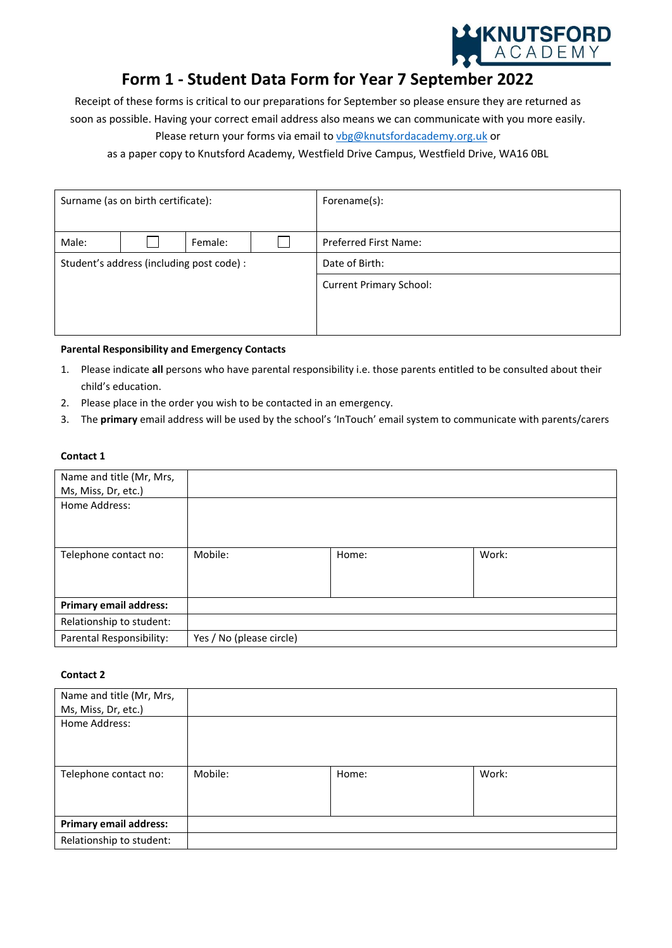

# **Form 1 - Student Data Form for Year 7 September 2022**

Receipt of these forms is critical to our preparations for September so please ensure they are returned as soon as possible. Having your correct email address also means we can communicate with you more easily.

Please return your forms via email to [vbg@knutsfordacademy.org.uk](mailto:vbg@knutsfordacademy.org.uk) or

as a paper copy to Knutsford Academy, Westfield Drive Campus, Westfield Drive, WA16 0BL

| Surname (as on birth certificate):        |  |         | Forename(s):                   |
|-------------------------------------------|--|---------|--------------------------------|
|                                           |  |         |                                |
| Male:                                     |  | Female: | <b>Preferred First Name:</b>   |
| Student's address (including post code) : |  |         | Date of Birth:                 |
|                                           |  |         | <b>Current Primary School:</b> |
|                                           |  |         |                                |
|                                           |  |         |                                |

#### **Parental Responsibility and Emergency Contacts**

- 1. Please indicate **all** persons who have parental responsibility i.e. those parents entitled to be consulted about their child's education.
- 2. Please place in the order you wish to be contacted in an emergency.
- 3. The **primary** email address will be used by the school's 'InTouch' email system to communicate with parents/carers

#### **Contact 1**

| Name and title (Mr, Mrs,      |                          |       |       |
|-------------------------------|--------------------------|-------|-------|
| Ms, Miss, Dr, etc.)           |                          |       |       |
| Home Address:                 |                          |       |       |
|                               |                          |       |       |
|                               |                          |       |       |
|                               |                          |       |       |
| Telephone contact no:         | Mobile:                  | Home: | Work: |
|                               |                          |       |       |
|                               |                          |       |       |
| <b>Primary email address:</b> |                          |       |       |
| Relationship to student:      |                          |       |       |
| Parental Responsibility:      | Yes / No (please circle) |       |       |

## **Contact 2**

| Name and title (Mr, Mrs,      |         |       |       |
|-------------------------------|---------|-------|-------|
| Ms, Miss, Dr, etc.)           |         |       |       |
| Home Address:                 |         |       |       |
| Telephone contact no:         | Mobile: | Home: | Work: |
| <b>Primary email address:</b> |         |       |       |
| Relationship to student:      |         |       |       |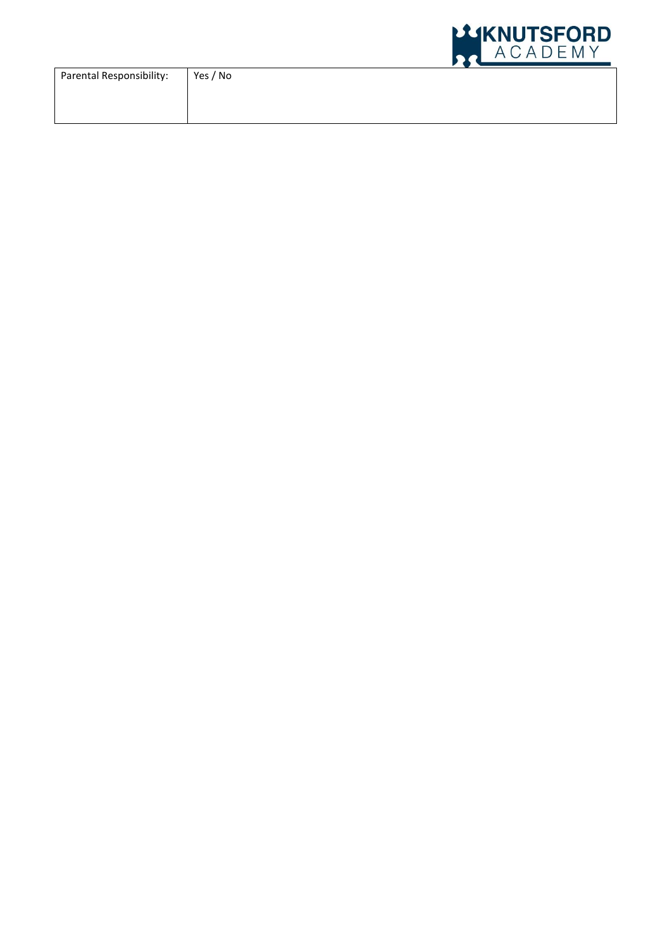|                          |          | LLIKNUTSFORD<br>ACADEMY |
|--------------------------|----------|-------------------------|
| Parental Responsibility: | Yes / No |                         |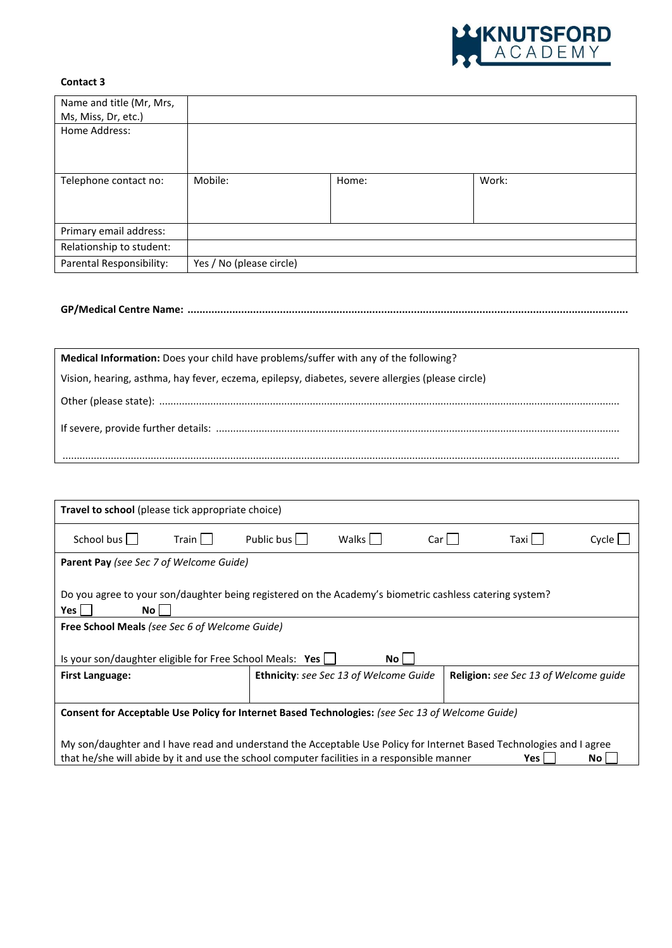

# **Contact 3**

| Name and title (Mr, Mrs, |                          |       |       |
|--------------------------|--------------------------|-------|-------|
| Ms, Miss, Dr, etc.)      |                          |       |       |
| Home Address:            |                          |       |       |
|                          |                          |       |       |
|                          |                          |       |       |
|                          |                          |       |       |
| Telephone contact no:    | Mobile:                  | Home: | Work: |
|                          |                          |       |       |
|                          |                          |       |       |
|                          |                          |       |       |
| Primary email address:   |                          |       |       |
| Relationship to student: |                          |       |       |
| Parental Responsibility: | Yes / No (please circle) |       |       |

# **GP/Medical Centre Name: ....................................................................................................................................................**

| Medical Information: Does your child have problems/suffer with any of the following?             |
|--------------------------------------------------------------------------------------------------|
| Vision, hearing, asthma, hay fever, eczema, epilepsy, diabetes, severe allergies (please circle) |
|                                                                                                  |
|                                                                                                  |
|                                                                                                  |

| <b>Travel to school</b> (please tick appropriate choice)                                                                                                                                                                                                     |         |            |                                               |                        |  |                                              |       |
|--------------------------------------------------------------------------------------------------------------------------------------------------------------------------------------------------------------------------------------------------------------|---------|------------|-----------------------------------------------|------------------------|--|----------------------------------------------|-------|
| School bus                                                                                                                                                                                                                                                   | Train L | Public bus | Walks <sup>1</sup>                            | $Car \mid \; \; \vert$ |  | Taxi                                         | Cycle |
| <b>Parent Pay (see Sec 7 of Welcome Guide)</b>                                                                                                                                                                                                               |         |            |                                               |                        |  |                                              |       |
| Do you agree to your son/daughter being registered on the Academy's biometric cashless catering system?<br>Yes  <br>No l<br><b>Free School Meals (see Sec 6 of Welcome Guide)</b><br>Is your son/daughter eligible for Free School Meals: Yes $\Box$<br>No l |         |            |                                               |                        |  |                                              |       |
| <b>First Language:</b>                                                                                                                                                                                                                                       |         |            | <b>Ethnicity:</b> see Sec 13 of Welcome Guide |                        |  | <b>Religion:</b> see Sec 13 of Welcome guide |       |
|                                                                                                                                                                                                                                                              |         |            |                                               |                        |  |                                              |       |
| Consent for Acceptable Use Policy for Internet Based Technologies: (see Sec 13 of Welcome Guide)                                                                                                                                                             |         |            |                                               |                        |  |                                              |       |
| My son/daughter and I have read and understand the Acceptable Use Policy for Internet Based Technologies and I agree<br>that he/she will abide by it and use the school computer facilities in a responsible manner<br>Yes  <br>No <sub>1</sub>              |         |            |                                               |                        |  |                                              |       |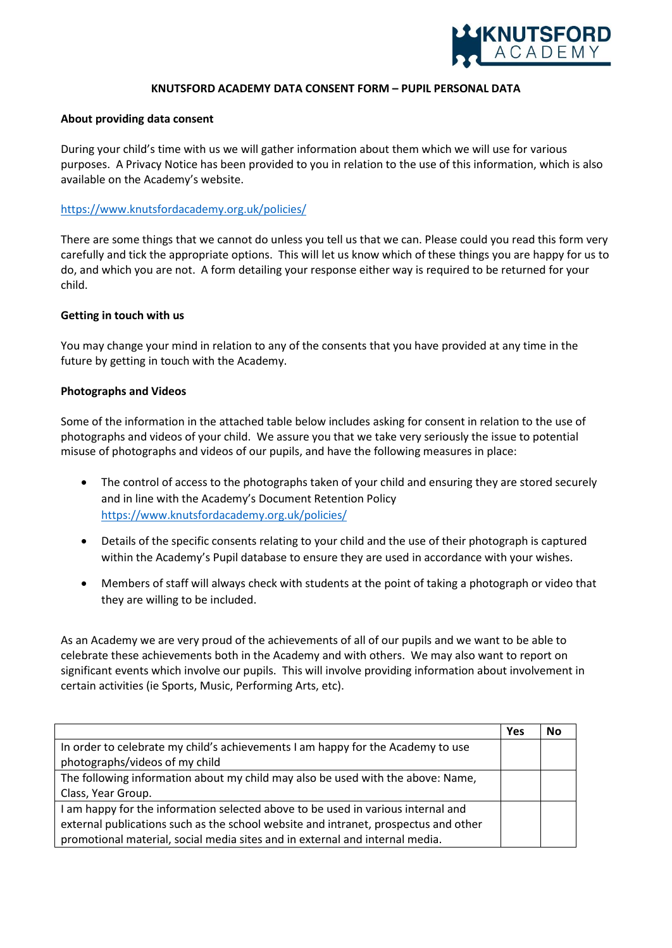

#### **KNUTSFORD ACADEMY DATA CONSENT FORM – PUPIL PERSONAL DATA**

#### **About providing data consent**

During your child's time with us we will gather information about them which we will use for various purposes. A Privacy Notice has been provided to you in relation to the use of this information, which is also available on the Academy's website.

### <https://www.knutsfordacademy.org.uk/policies/>

There are some things that we cannot do unless you tell us that we can. Please could you read this form very carefully and tick the appropriate options. This will let us know which of these things you are happy for us to do, and which you are not. A form detailing your response either way is required to be returned for your child.

#### **Getting in touch with us**

You may change your mind in relation to any of the consents that you have provided at any time in the future by getting in touch with the Academy.

#### **Photographs and Videos**

Some of the information in the attached table below includes asking for consent in relation to the use of photographs and videos of your child. We assure you that we take very seriously the issue to potential misuse of photographs and videos of our pupils, and have the following measures in place:

- The control of access to the photographs taken of your child and ensuring they are stored securely and in line with the Academy's Document Retention Policy <https://www.knutsfordacademy.org.uk/policies/>
- Details of the specific consents relating to your child and the use of their photograph is captured within the Academy's Pupil database to ensure they are used in accordance with your wishes.
- Members of staff will always check with students at the point of taking a photograph or video that they are willing to be included.

As an Academy we are very proud of the achievements of all of our pupils and we want to be able to celebrate these achievements both in the Academy and with others. We may also want to report on significant events which involve our pupils. This will involve providing information about involvement in certain activities (ie Sports, Music, Performing Arts, etc).

|                                                                                     | Yes | No |
|-------------------------------------------------------------------------------------|-----|----|
| In order to celebrate my child's achievements I am happy for the Academy to use     |     |    |
| photographs/videos of my child                                                      |     |    |
| The following information about my child may also be used with the above: Name,     |     |    |
| Class, Year Group.                                                                  |     |    |
| I am happy for the information selected above to be used in various internal and    |     |    |
| external publications such as the school website and intranet, prospectus and other |     |    |
| promotional material, social media sites and in external and internal media.        |     |    |